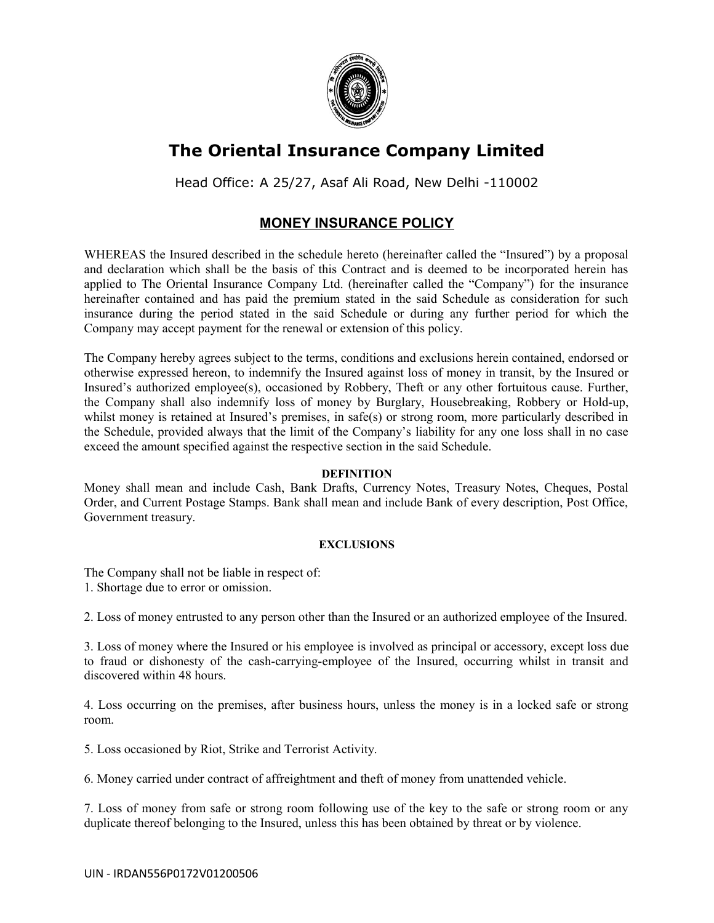

# **The Oriental Insurance Company Limited**

Head Office: A 25/27, Asaf Ali Road, New Delhi -110002

# **MONEY INSURANCE POLICY**

WHEREAS the Insured described in the schedule hereto (hereinafter called the "Insured") by a proposal and declaration which shall be the basis of this Contract and is deemed to be incorporated herein has applied to The Oriental Insurance Company Ltd. (hereinafter called the "Company") for the insurance hereinafter contained and has paid the premium stated in the said Schedule as consideration for such insurance during the period stated in the said Schedule or during any further period for which the Company may accept payment for the renewal or extension of this policy.

The Company hereby agrees subject to the terms, conditions and exclusions herein contained, endorsed or otherwise expressed hereon, to indemnify the Insured against loss of money in transit, by the Insured or Insured's authorized employee(s), occasioned by Robbery, Theft or any other fortuitous cause. Further, the Company shall also indemnify loss of money by Burglary, Housebreaking, Robbery or Hold-up, whilst money is retained at Insured's premises, in safe(s) or strong room, more particularly described in the Schedule, provided always that the limit of the Company's liability for any one loss shall in no case exceed the amount specified against the respective section in the said Schedule.

# **DEFINITION**

Money shall mean and include Cash, Bank Drafts, Currency Notes, Treasury Notes, Cheques, Postal Order, and Current Postage Stamps. Bank shall mean and include Bank of every description, Post Office, Government treasury.

# **EXCLUSIONS**

The Company shall not be liable in respect of:

1. Shortage due to error or omission.

2. Loss of money entrusted to any person other than the Insured or an authorized employee of the Insured.

3. Loss of money where the Insured or his employee is involved as principal or accessory, except loss due to fraud or dishonesty of the cash-carrying-employee of the Insured, occurring whilst in transit and discovered within 48 hours.

4. Loss occurring on the premises, after business hours, unless the money is in a locked safe or strong room.

5. Loss occasioned by Riot, Strike and Terrorist Activity.

6. Money carried under contract of affreightment and theft of money from unattended vehicle.

7. Loss of money from safe or strong room following use of the key to the safe or strong room or any duplicate thereof belonging to the Insured, unless this has been obtained by threat or by violence.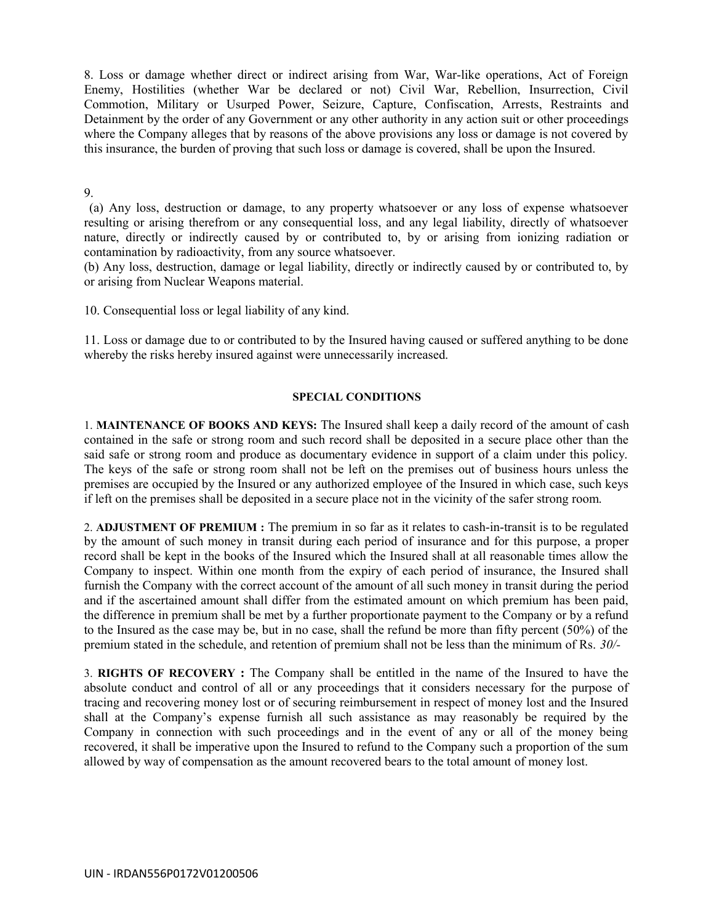8. Loss or damage whether direct or indirect arising from War, War-like operations, Act of Foreign Enemy, Hostilities (whether War be declared or not) Civil War, Rebellion, Insurrection, Civil Commotion, Military or Usurped Power, Seizure, Capture, Confiscation, Arrests, Restraints and Detainment by the order of any Government or any other authority in any action suit or other proceedings where the Company alleges that by reasons of the above provisions any loss or damage is not covered by this insurance, the burden of proving that such loss or damage is covered, shall be upon the Insured.

# 9.

 (a) Any loss, destruction or damage, to any property whatsoever or any loss of expense whatsoever resulting or arising therefrom or any consequential loss, and any legal liability, directly of whatsoever nature, directly or indirectly caused by or contributed to, by or arising from ionizing radiation or contamination by radioactivity, from any source whatsoever.

(b) Any loss, destruction, damage or legal liability, directly or indirectly caused by or contributed to, by or arising from Nuclear Weapons material.

10. Consequential loss or legal liability of any kind.

11. Loss or damage due to or contributed to by the Insured having caused or suffered anything to be done whereby the risks hereby insured against were unnecessarily increased.

#### **SPECIAL CONDITIONS**

1. **MAINTENANCE OF BOOKS AND KEYS:** The Insured shall keep a daily record of the amount of cash contained in the safe or strong room and such record shall be deposited in a secure place other than the said safe or strong room and produce as documentary evidence in support of a claim under this policy. The keys of the safe or strong room shall not be left on the premises out of business hours unless the premises are occupied by the Insured or any authorized employee of the Insured in which case, such keys if left on the premises shall be deposited in a secure place not in the vicinity of the safer strong room.

2. **ADJUSTMENT OF PREMIUM :** The premium in so far as it relates to cash-in-transit is to be regulated by the amount of such money in transit during each period of insurance and for this purpose, a proper record shall be kept in the books of the Insured which the Insured shall at all reasonable times allow the Company to inspect. Within one month from the expiry of each period of insurance, the Insured shall furnish the Company with the correct account of the amount of all such money in transit during the period and if the ascertained amount shall differ from the estimated amount on which premium has been paid, the difference in premium shall be met by a further proportionate payment to the Company or by a refund to the Insured as the case may be, but in no case, shall the refund be more than fifty percent (50%) of the premium stated in the schedule, and retention of premium shall not be less than the minimum of Rs. *30/-*

3. **RIGHTS OF RECOVERY :** The Company shall be entitled in the name of the Insured to have the absolute conduct and control of all or any proceedings that it considers necessary for the purpose of tracing and recovering money lost or of securing reimbursement in respect of money lost and the Insured shall at the Company's expense furnish all such assistance as may reasonably be required by the Company in connection with such proceedings and in the event of any or all of the money being recovered, it shall be imperative upon the Insured to refund to the Company such a proportion of the sum allowed by way of compensation as the amount recovered bears to the total amount of money lost.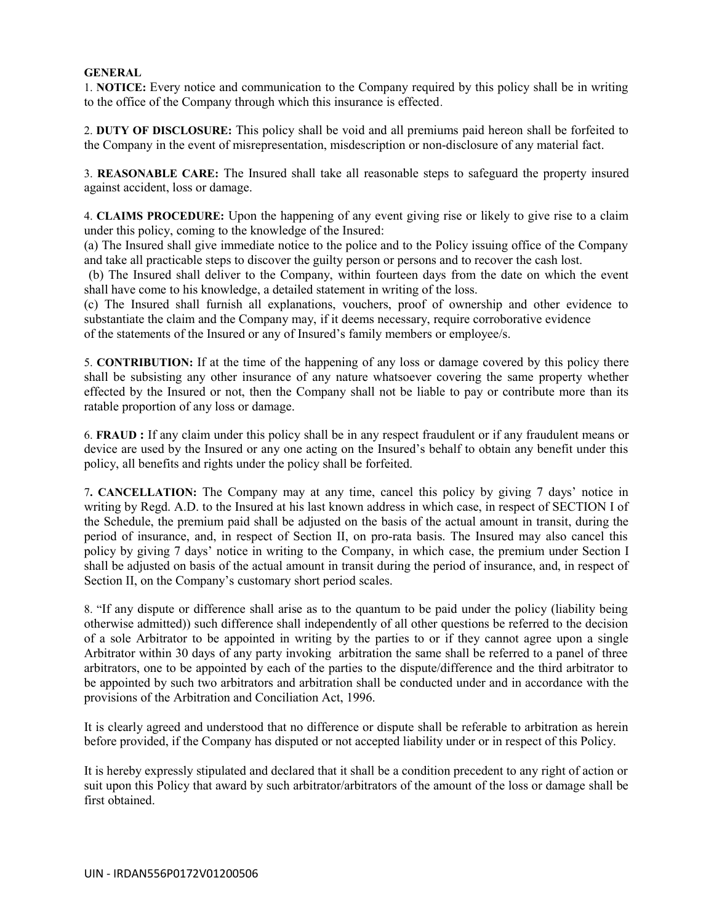# **GENERAL**

1. **NOTICE:** Every notice and communication to the Company required by this policy shall be in writing to the office of the Company through which this insurance is effected.

2. **DUTY OF DISCLOSURE:** This policy shall be void and all premiums paid hereon shall be forfeited to the Company in the event of misrepresentation, misdescription or non-disclosure of any material fact.

3. **REASONABLE CARE:** The Insured shall take all reasonable steps to safeguard the property insured against accident, loss or damage.

4. **CLAIMS PROCEDURE:** Upon the happening of any event giving rise or likely to give rise to a claim under this policy, coming to the knowledge of the Insured:

(a) The Insured shall give immediate notice to the police and to the Policy issuing office of the Company and take all practicable steps to discover the guilty person or persons and to recover the cash lost.

 (b) The Insured shall deliver to the Company, within fourteen days from the date on which the event shall have come to his knowledge, a detailed statement in writing of the loss.

(c) The Insured shall furnish all explanations, vouchers, proof of ownership and other evidence to substantiate the claim and the Company may, if it deems necessary, require corroborative evidence of the statements of the Insured or any of Insured's family members or employee/s.

5. **CONTRIBUTION:** If at the time of the happening of any loss or damage covered by this policy there shall be subsisting any other insurance of any nature whatsoever covering the same property whether effected by the Insured or not, then the Company shall not be liable to pay or contribute more than its ratable proportion of any loss or damage.

6. **FRAUD :** If any claim under this policy shall be in any respect fraudulent or if any fraudulent means or device are used by the Insured or any one acting on the Insured's behalf to obtain any benefit under this policy, all benefits and rights under the policy shall be forfeited.

7**. CANCELLATION:** The Company may at any time, cancel this policy by giving 7 days' notice in writing by Regd. A.D. to the Insured at his last known address in which case, in respect of SECTION I of the Schedule, the premium paid shall be adjusted on the basis of the actual amount in transit, during the period of insurance, and, in respect of Section II, on pro-rata basis. The Insured may also cancel this policy by giving 7 days' notice in writing to the Company, in which case, the premium under Section I shall be adjusted on basis of the actual amount in transit during the period of insurance, and, in respect of Section II, on the Company's customary short period scales.

8. "If any dispute or difference shall arise as to the quantum to be paid under the policy (liability being otherwise admitted)) such difference shall independently of all other questions be referred to the decision of a sole Arbitrator to be appointed in writing by the parties to or if they cannot agree upon a single Arbitrator within 30 days of any party invoking arbitration the same shall be referred to a panel of three arbitrators, one to be appointed by each of the parties to the dispute/difference and the third arbitrator to be appointed by such two arbitrators and arbitration shall be conducted under and in accordance with the provisions of the Arbitration and Conciliation Act, 1996.

It is clearly agreed and understood that no difference or dispute shall be referable to arbitration as herein before provided, if the Company has disputed or not accepted liability under or in respect of this Policy.

It is hereby expressly stipulated and declared that it shall be a condition precedent to any right of action or suit upon this Policy that award by such arbitrator/arbitrators of the amount of the loss or damage shall be first obtained.